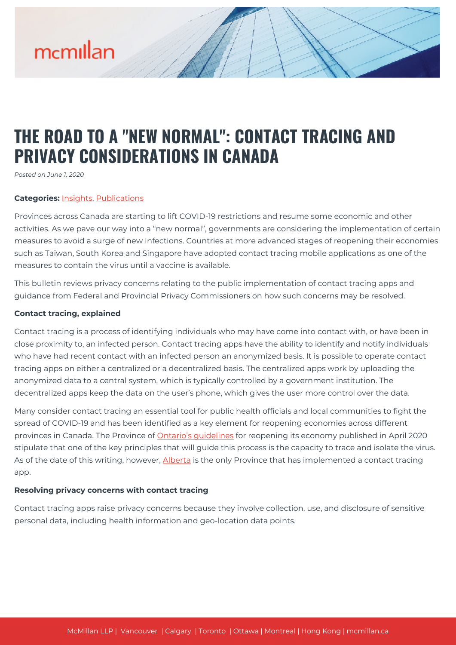# mcmillan

# **THE ROAD TO A "NEW NORMAL": CONTACT TRACING AND PRIVACY CONSIDERATIONS IN CANADA**

*Posted on June 1, 2020*

#### **Categories:** [Insights,](https://mcmillan.ca/insights/) [Publications](https://mcmillan.ca/insights/publications/)

Provinces across Canada are starting to lift COVID-19 restrictions and resume some economic and other activities. As we pave our way into a "new normal", governments are considering the implementation of certain measures to avoid a surge of new infections. Countries at more advanced stages of reopening their economies such as Taiwan, South Korea and Singapore have adopted contact tracing mobile applications as one of the measures to contain the virus until a vaccine is available.

This bulletin reviews privacy concerns relating to the public implementation of contact tracing apps and guidance from Federal and Provincial Privacy Commissioners on how such concerns may be resolved.

#### **Contact tracing, explained**

Contact tracing is a process of identifying individuals who may have come into contact with, or have been in close proximity to, an infected person. Contact tracing apps have the ability to identify and notify individuals who have had recent contact with an infected person an anonymized basis. It is possible to operate contact tracing apps on either a centralized or a decentralized basis. The centralized apps work by uploading the anonymized data to a central system, which is typically controlled by a government institution. The decentralized apps keep the data on the user's phone, which gives the user more control over the data.

Many consider contact tracing an essential tool for public health officials and local communities to fight the spread of COVID-19 and has been identified as a key element for reopening economies across different provinces in Canada. The Province of [Ontario's guidelines](https://www.ontario.ca/page/framework-reopening-our-province) for reopening its economy published in April 2020 stipulate that one of the key principles that will guide this process is the capacity to trace and isolate the virus. As of the date of this writing, however, [Alberta](https://www.reuters.com/article/us-health-coronavirus-canada/alberta-to-launch-canadas-first-contact-tracing-app-as-economy-slowly-reopens-idUSKBN22D665) is the only Province that has implemented a contact tracing app.

#### **Resolving privacy concerns with contact tracing**

Contact tracing apps raise privacy concerns because they involve collection, use, and disclosure of sensitive personal data, including health information and geo-location data points.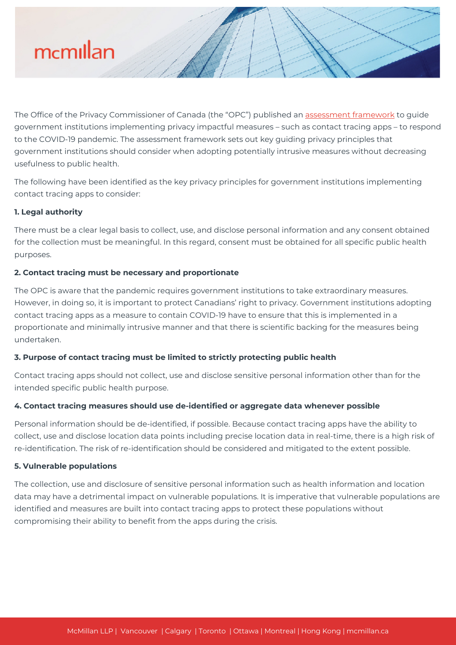

The Office of the Privacy Commissioner of Canada (the "OPC") published an [assessment framework](https://www.priv.gc.ca/en/privacy-topics/health-genetic-and-other-body-information/health-emergencies/fw_covid/) to guide government institutions implementing privacy impactful measures – such as contact tracing apps – to respond to the COVID-19 pandemic. The assessment framework sets out key guiding privacy principles that government institutions should consider when adopting potentially intrusive measures without decreasing usefulness to public health.

The following have been identified as the key privacy principles for government institutions implementing contact tracing apps to consider:

### **1. Legal authority**

There must be a clear legal basis to collect, use, and disclose personal information and any consent obtained for the collection must be meaningful. In this regard, consent must be obtained for all specific public health purposes.

### **2. Contact tracing must be necessary and proportionate**

The OPC is aware that the pandemic requires government institutions to take extraordinary measures. However, in doing so, it is important to protect Canadians' right to privacy. Government institutions adopting contact tracing apps as a measure to contain COVID-19 have to ensure that this is implemented in a proportionate and minimally intrusive manner and that there is scientific backing for the measures being undertaken.

## **3. Purpose of contact tracing must be limited to strictly protecting public health**

Contact tracing apps should not collect, use and disclose sensitive personal information other than for the intended specific public health purpose.

#### **4. Contact tracing measures should use de-identified or aggregate data whenever possible**

Personal information should be de-identified, if possible. Because contact tracing apps have the ability to collect, use and disclose location data points including precise location data in real-time, there is a high risk of re-identification. The risk of re-identification should be considered and mitigated to the extent possible.

#### **5. Vulnerable populations**

The collection, use and disclosure of sensitive personal information such as health information and location data may have a detrimental impact on vulnerable populations. It is imperative that vulnerable populations are identified and measures are built into contact tracing apps to protect these populations without compromising their ability to benefit from the apps during the crisis.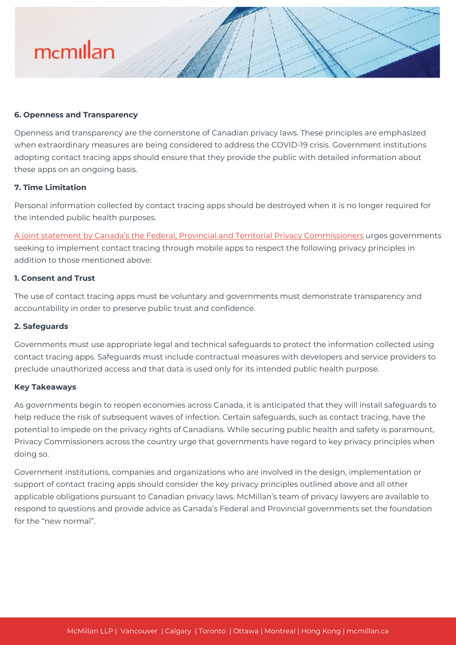# mcmillan

#### **6. Openness and Transparency**

Openness and transparency are the cornerstone of Canadian privacy laws. These principles are emphasized when extraordinary measures are being considered to address the COVID-19 crisis. Government institutions adopting contact tracing apps should ensure that they provide the public with detailed information about these apps on an ongoing basis.

#### **7. Time Limitation**

Personal information collected by contact tracing apps should be destroyed when it is no longer required for the intended public health purposes.

[A joint statement by Canada's the Federal, Provincial and Territorial Privacy Commissioners](https://www.priv.gc.ca/en/opc-news/speeches/2020/s-d_20200507/) urges governments seeking to implement contact tracing through mobile apps to respect the following privacy principles in addition to those mentioned above:

#### **1. Consent and Trust**

The use of contact tracing apps must be voluntary and governments must demonstrate transparency and accountability in order to preserve public trust and confidence.

#### **2. Safeguards**

Governments must use appropriate legal and technical safeguards to protect the information collected using contact tracing apps. Safeguards must include contractual measures with developers and service providers to preclude unauthorized access and that data is used only for its intended public health purpose.

#### **Key Takeaways**

As governments begin to reopen economies across Canada, it is anticipated that they will install safeguards to help reduce the risk of subsequent waves of infection. Certain safeguards, such as contact tracing, have the potential to impede on the privacy rights of Canadians. While securing public health and safety is paramount, Privacy Commissioners across the country urge that governments have regard to key privacy principles when doing so.

Government institutions, companies and organizations who are involved in the design, implementation or support of contact tracing apps should consider the key privacy principles outlined above and all other applicable obligations pursuant to Canadian privacy laws. McMillan's team of privacy lawyers are available to respond to questions and provide advice as Canada's Federal and Provincial governments set the foundation for the "new normal".